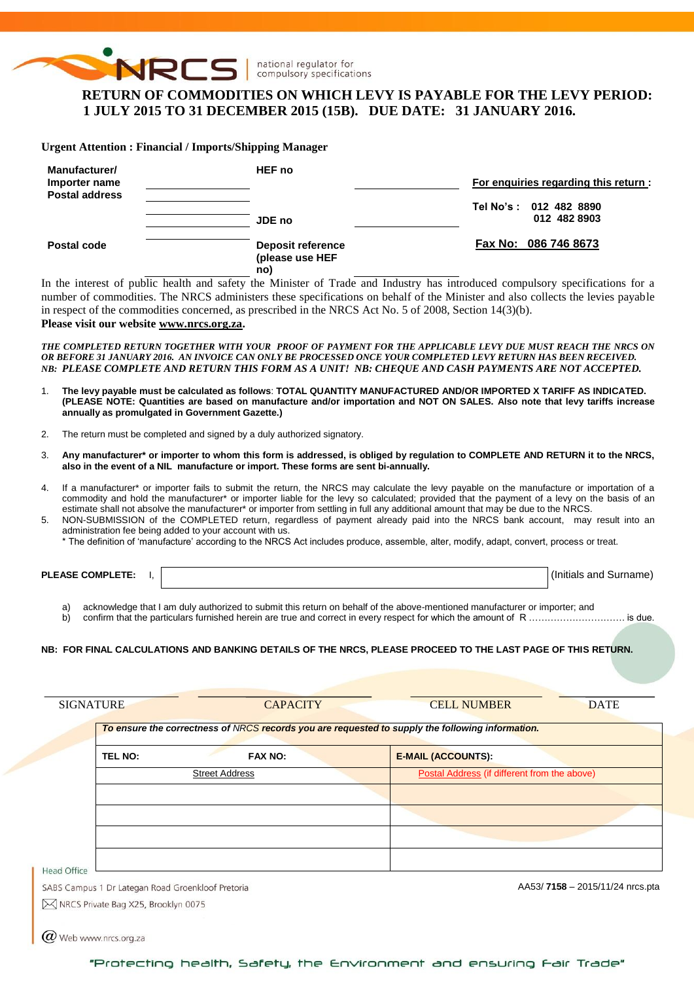

# **RETURN OF COMMODITIES ON WHICH LEVY IS PAYABLE FOR THE LEVY PERIOD: 1 JULY 2015 TO 31 DECEMBER 2015 (15B). DUE DATE: 31 JANUARY 2016.**

**Urgent Attention : Financial / Imports/Shipping Manager**

| Manufacturer/<br>Importer name<br><b>Postal address</b> | <b>HEF</b> no                                      | For enquiries regarding this return: |                                        |  |  |  |  |
|---------------------------------------------------------|----------------------------------------------------|--------------------------------------|----------------------------------------|--|--|--|--|
|                                                         | JDE no                                             |                                      | Tel No's: 012 482 8890<br>012 482 8903 |  |  |  |  |
| Postal code                                             | <b>Deposit reference</b><br>(please use HEF<br>no) |                                      | Fax No: 086 746 8673                   |  |  |  |  |

In the interest of public health and safety the Minister of Trade and Industry has introduced compulsory specifications for a number of commodities. The NRCS administers these specifications on behalf of the Minister and also collects the levies payable in respect of the commodities concerned, as prescribed in the NRCS Act No. 5 of 2008, Section 14(3)(b).

**Please visit our website [www.nrcs.org.za.](http://www.nrcs.org.za/)**

*THE COMPLETED RETURN TOGETHER WITH YOUR PROOF OF PAYMENT FOR THE APPLICABLE LEVY DUE MUST REACH THE NRCS ON OR BEFORE 31 JANUARY 2016. AN INVOICE CAN ONLY BE PROCESSED ONCE YOUR COMPLETED LEVY RETURN HAS BEEN RECEIVED. NB: PLEASE COMPLETE AND RETURN THIS FORM AS A UNIT! NB: CHEQUE AND CASH PAYMENTS ARE NOT ACCEPTED.*

- 1. **The levy payable must be calculated as follows**: **TOTAL QUANTITY MANUFACTURED AND/OR IMPORTED X TARIFF AS INDICATED. (PLEASE NOTE: Quantities are based on manufacture and/or importation and NOT ON SALES. Also note that levy tariffs increase annually as promulgated in Government Gazette.)**
- 2. The return must be completed and signed by a duly authorized signatory.
- 3. **Any manufacturer\* or importer to whom this form is addressed, is obliged by regulation to COMPLETE AND RETURN it to the NRCS, also in the event of a NIL manufacture or import. These forms are sent bi-annually.**
- 4. If a manufacturer\* or importer fails to submit the return, the NRCS may calculate the levy payable on the manufacture or importation of a commodity and hold the manufacturer\* or importer liable for the levy so calculated; provided that the payment of a levy on the basis of an estimate shall not absolve the manufacturer\* or importer from settling in full any additional amount that may be due to the NRCS.
- 5. NON-SUBMISSION of the COMPLETED return, regardless of payment already paid into the NRCS bank account, may result into an administration fee being added to your account with us.

\* The definition of 'manufacture' according to the NRCS Act includes produce, assemble, alter, modify, adapt, convert, process or treat.

**PLEASE COMPLETE:** I,  $\vert$ 

a) acknowledge that I am duly authorized to submit this return on behalf of the above-mentioned manufacturer or importer; and

b) confirm that the particulars furnished herein are true and correct in every respect for which the amount of R ……………………………………. is due.

#### **NB: FOR FINAL CALCULATIONS AND BANKING DETAILS OF THE NRCS, PLEASE PROCEED TO THE LAST PAGE OF THIS RETURN.**

|                |                                                   | To ensure the correctness of NRCS records you are requested to supply the following information. |
|----------------|---------------------------------------------------|--------------------------------------------------------------------------------------------------|
| <b>TEL NO:</b> | <b>FAX NO:</b>                                    | <b>E-MAIL (ACCOUNTS):</b>                                                                        |
|                | <b>Street Address</b>                             | Postal Address (if different from the above)                                                     |
|                |                                                   |                                                                                                  |
|                |                                                   |                                                                                                  |
|                |                                                   |                                                                                                  |
| Head Office    |                                                   |                                                                                                  |
|                | SABS Campus 1 Dr Lategan Road Groenkloof Pretoria | AA53/7158 - 2015/11/24 nrcs.pta                                                                  |

 $\varpi$  Web www.nrcs.org.za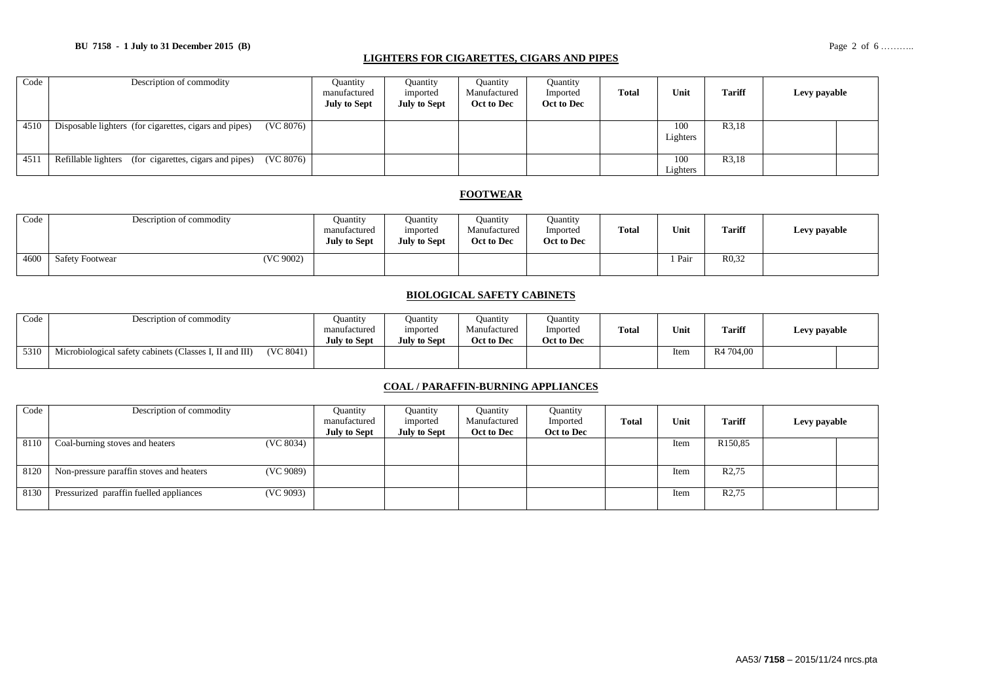#### **BU 7158 - 1 July to 31 December 2015 (B)** Page 2 of 6 ………..

#### **LIGHTERS FOR CIGARETTES, CIGARS AND PIPES**

| Code | Description of commodity                                            | <b>Quantity</b><br>manufactured<br><b>July to Sept</b> | Ouantity<br>imported<br><b>July to Sept</b> | <b>Quantity</b><br>Manufactured<br>Oct to Dec | Quantity<br>Imported<br>Oct to Dec | Total | Unit            | <b>Tariff</b> | Levy payable |
|------|---------------------------------------------------------------------|--------------------------------------------------------|---------------------------------------------|-----------------------------------------------|------------------------------------|-------|-----------------|---------------|--------------|
| 4510 | (VC 8076)<br>Disposable lighters (for cigarettes, cigars and pipes) |                                                        |                                             |                                               |                                    |       | 100<br>Lighters | R3,18         |              |
| 4511 | Refillable lighters (for cigarettes, cigars and pipes)<br>(VC 8076) |                                                        |                                             |                                               |                                    |       | 100<br>Lighters | R3,18         |              |

#### **FOOTWEAR**

| Code | Description of commodity            | Quantity<br>manufactured<br><b>July to Sept</b> | Ouantity<br>imported<br><b>July to Sept</b> | Ouantity<br>Manufactured<br>Oct to Dec | <b>Quantity</b><br>Imported<br>Oct to Dec | <b>Total</b> | Unit | <b>Tariff</b>      | Levy payable |
|------|-------------------------------------|-------------------------------------------------|---------------------------------------------|----------------------------------------|-------------------------------------------|--------------|------|--------------------|--------------|
| 4600 | (VC 9002)<br><b>Safety Footwear</b> |                                                 |                                             |                                        |                                           |              | Pair | R <sub>0</sub> .32 |              |

#### **BIOLOGICAL SAFETY CABINETS**

| Code | Description of commodity                                |           | <b>Quantity</b><br>manufactured<br><b>July to Sept</b> | Ouantity<br>imported<br><b>July to Sept</b> | Ouantity<br>Manufactured<br>Oct to Dec | Ouantity<br>Imported<br>Oct to Dec | Total | Unit | <b>Tariff</b>         | Levy payable |  |
|------|---------------------------------------------------------|-----------|--------------------------------------------------------|---------------------------------------------|----------------------------------------|------------------------------------|-------|------|-----------------------|--------------|--|
| 5310 | Microbiological safety cabinets (Classes I, II and III) | (VC 8041) |                                                        |                                             |                                        |                                    |       | Item | R <sub>4</sub> 704.00 |              |  |

#### **COAL / PARAFFIN-BURNING APPLIANCES**

| Code | Description of commodity                              | Ouantity            | Ouantity            | Ouantity     | Quantity   |       |      |                     |              |  |
|------|-------------------------------------------------------|---------------------|---------------------|--------------|------------|-------|------|---------------------|--------------|--|
|      |                                                       | manufactured        | imported            | Manufactured | Imported   | Total | Unit | <b>Tariff</b>       | Levy payable |  |
|      |                                                       | <b>July to Sept</b> | <b>July to Sept</b> | Oct to Dec   | Oct to Dec |       |      |                     |              |  |
| 8110 | (VC 8034)<br>Coal-burning stoves and heaters          |                     |                     |              |            |       | Item | R <sub>150,85</sub> |              |  |
|      |                                                       |                     |                     |              |            |       |      |                     |              |  |
| 8120 | Non-pressure paraffin stoves and heaters<br>(VC 9089) |                     |                     |              |            |       | Item | R <sub>2</sub> ,75  |              |  |
| 8130 | (VC 9093)<br>Pressurized paraffin fuelled appliances  |                     |                     |              |            |       | Item | R <sub>2</sub> ,75  |              |  |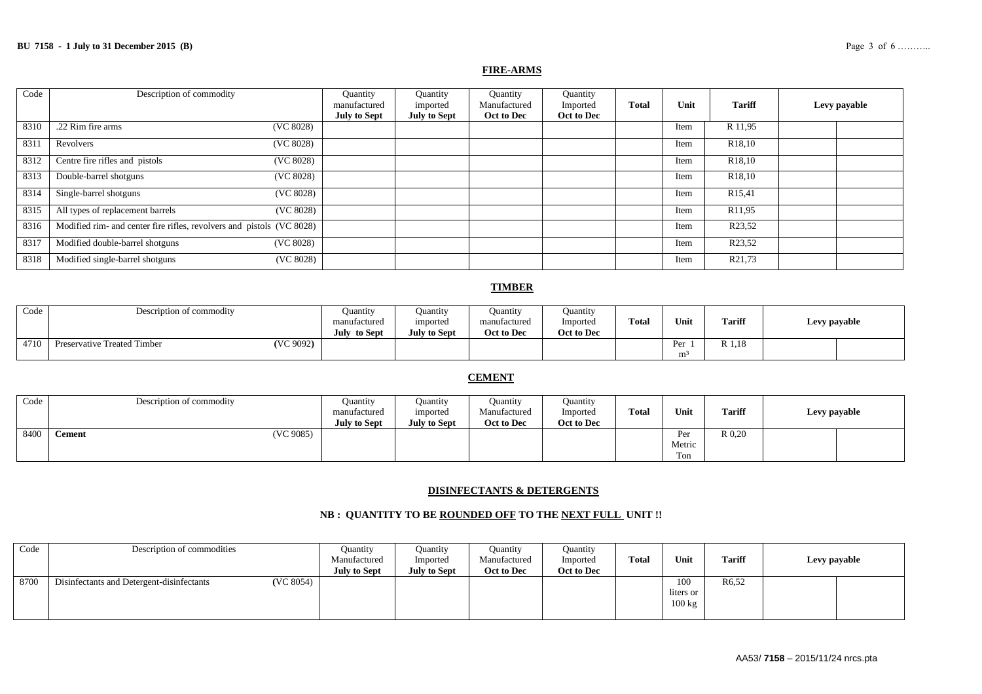#### **FIRE-ARMS**

| Code | Description of commodity                                              | Quantity<br>manufactured | Quantity<br>imported | Quantity<br>Manufactured | Quantity<br>Imported | <b>Total</b> | Unit | <b>Tariff</b>       | Levy payable |  |
|------|-----------------------------------------------------------------------|--------------------------|----------------------|--------------------------|----------------------|--------------|------|---------------------|--------------|--|
|      |                                                                       | <b>July to Sept</b>      | <b>July to Sept</b>  | Oct to Dec               | Oct to Dec           |              |      |                     |              |  |
| 8310 | .22 Rim fire arms<br>(VC 8028)                                        |                          |                      |                          |                      |              | Item | R 11,95             |              |  |
| 8311 | (VC 8028)<br>Revolvers                                                |                          |                      |                          |                      |              | Item | R <sub>18</sub> ,10 |              |  |
| 8312 | Centre fire rifles and pistols<br>(VC 8028)                           |                          |                      |                          |                      |              | Item | R <sub>18</sub> ,10 |              |  |
| 8313 | Double-barrel shotguns<br>(VC 8028)                                   |                          |                      |                          |                      |              | Item | R <sub>18</sub> ,10 |              |  |
| 8314 | Single-barrel shotguns<br>(VC 8028)                                   |                          |                      |                          |                      |              | Item | R <sub>15</sub> ,41 |              |  |
| 8315 | All types of replacement barrels<br>(VC 8028)                         |                          |                      |                          |                      |              | Item | R11,95              |              |  |
| 8316 | Modified rim- and center fire rifles, revolvers and pistols (VC 8028) |                          |                      |                          |                      |              | Item | R <sub>23</sub> ,52 |              |  |
| 8317 | Modified double-barrel shotguns<br>(VC 8028)                          |                          |                      |                          |                      |              | Item | R23,52              |              |  |
| 8318 | Modified single-barrel shotguns<br>(VC 8028)                          |                          |                      |                          |                      |              | Item | R21,73              |              |  |

#### **TIMBER**

| Code | Description of commodity                 | Ouantity<br>manufactured<br>July to Sept | Ouantity<br>imported<br><b>July to Sept</b> | <b>Ouantity</b><br>manufactured<br>Oct to Dec | <b>Ouantity</b><br>Imported<br>Oct to Dec | <b>Total</b> | Unit                  | <b>Tariff</b> | Levy payable |
|------|------------------------------------------|------------------------------------------|---------------------------------------------|-----------------------------------------------|-------------------------------------------|--------------|-----------------------|---------------|--------------|
| 4710 | (VC 9092)<br>Preservative Treated Timber |                                          |                                             |                                               |                                           |              | Per<br>m <sup>3</sup> | R 1,18        |              |

### **CEMENT**

| Code | Description of commodity   | Ouantity<br>manufactured<br><b>July to Sept</b> | Ouantity<br>imported<br><b>July to Sept</b> | <b>Quantity</b><br>Manufactured<br>Oct to Dec | Ouantity<br>Imported<br>Oct to Dec | <b>Total</b> | Unit                 | <b>Tariff</b> | Levy payable |
|------|----------------------------|-------------------------------------------------|---------------------------------------------|-----------------------------------------------|------------------------------------|--------------|----------------------|---------------|--------------|
| 8400 | (VC 9085)<br><b>Cement</b> |                                                 |                                             |                                               |                                    |              | Per<br>Metric<br>Ton | $R_{0,20}$    |              |

#### **DISINFECTANTS & DETERGENTS**

#### **NB : QUANTITY TO BE ROUNDED OFF TO THE NEXT FULL UNIT !!**

| Code | Description of commodities                             | Quantity<br>Manufactured<br>July to Sept | <b>Ouantity</b><br>Imported<br><b>July to Sept</b> | <b>Quantity</b><br>Manufactured<br>Oct to Dec | Ouantity<br>Imported<br>Oct to Dec | <b>Total</b> | Unit                                 | <b>Tariff</b>      | Levy payable |  |
|------|--------------------------------------------------------|------------------------------------------|----------------------------------------------------|-----------------------------------------------|------------------------------------|--------------|--------------------------------------|--------------------|--------------|--|
| 8700 | (VC 8054)<br>Disinfectants and Detergent-disinfectants |                                          |                                                    |                                               |                                    |              | 100<br>liters or<br>$100 \text{ kg}$ | R <sub>6</sub> ,52 |              |  |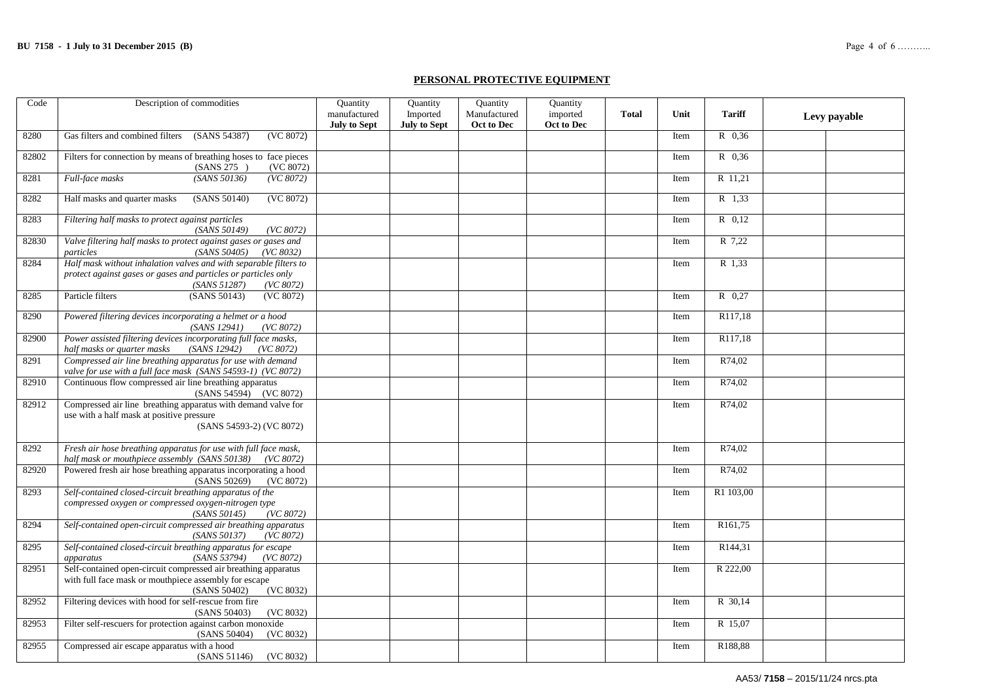#### **PERSONAL PROTECTIVE EQUIPMENT**

| Code  | Description of commodities                                                                                                                                       | Quantity<br>manufactured | Quantity                        | Quantity<br>Manufactured | Quantity               | <b>Total</b> | Unit | <b>Tariff</b>       |              |
|-------|------------------------------------------------------------------------------------------------------------------------------------------------------------------|--------------------------|---------------------------------|--------------------------|------------------------|--------------|------|---------------------|--------------|
|       |                                                                                                                                                                  | <b>July to Sept</b>      | Imported<br><b>July to Sept</b> | Oct to Dec               | imported<br>Oct to Dec |              |      |                     | Levy payable |
| 8280  | Gas filters and combined filters<br>(SANS 54387)<br>(VC 8072)                                                                                                    |                          |                                 |                          |                        |              | Item | R 0.36              |              |
| 82802 | Filters for connection by means of breathing hoses to face pieces<br>(VC 8072)<br>(SANS 275)                                                                     |                          |                                 |                          |                        |              | Item | R 0,36              |              |
| 8281  | Full-face masks<br>(SANS 50136)<br>(VC 8072)                                                                                                                     |                          |                                 |                          |                        |              | Item | R 11,21             |              |
| 8282  | Half masks and quarter masks<br>(SANS 50140)<br>(VC 8072)                                                                                                        |                          |                                 |                          |                        |              | Item | R 1,33              |              |
| 8283  | Filtering half masks to protect against particles<br>(SANS 50149)<br>(VC 8072)                                                                                   |                          |                                 |                          |                        |              | Item | $R$ 0.12            |              |
| 82830 | Valve filtering half masks to protect against gases or gases and<br>particles<br>(SANS 50405)<br>(VC 8032)                                                       |                          |                                 |                          |                        |              | Item | R 7,22              |              |
| 8284  | Half mask without inhalation valves and with separable filters to<br>protect against gases or gases and particles or particles only<br>(SANS 51287)<br>(VC 8072) |                          |                                 |                          |                        |              | Item | R 1,33              |              |
| 8285  | Particle filters<br>(SANS 50143)<br>(VC 8072)                                                                                                                    |                          |                                 |                          |                        |              | Item | R 0.27              |              |
| 8290  | Powered filtering devices incorporating a helmet or a hood<br>(SANS 12941)<br>(VC 8072)                                                                          |                          |                                 |                          |                        |              | Item | R117,18             |              |
| 82900 | Power assisted filtering devices incorporating full face masks,<br>half masks or quarter masks<br>(SANS 12942)<br>(VC 8072)                                      |                          |                                 |                          |                        |              | Item | R117,18             |              |
| 8291  | Compressed air line breathing apparatus for use with demand<br>valve for use with a full face mask (SANS 54593-1) (VC 8072)                                      |                          |                                 |                          |                        |              | Item | R74,02              |              |
| 82910 | Continuous flow compressed air line breathing apparatus<br>(SANS 54594) (VC 8072)                                                                                |                          |                                 |                          |                        |              | Item | R74,02              |              |
| 82912 | Compressed air line breathing apparatus with demand valve for<br>use with a half mask at positive pressure<br>(SANS 54593-2) (VC 8072)                           |                          |                                 |                          |                        |              | Item | R74,02              |              |
| 8292  | Fresh air hose breathing apparatus for use with full face mask,<br>half mask or mouthpiece assembly (SANS 50138) (VC 8072)                                       |                          |                                 |                          |                        |              | Item | R74,02              |              |
| 82920 | Powered fresh air hose breathing apparatus incorporating a hood<br>(SANS 50269)<br>(VC 8072)                                                                     |                          |                                 |                          |                        |              | Item | R74,02              |              |
| 8293  | Self-contained closed-circuit breathing apparatus of the<br>compressed oxygen or compressed oxygen-nitrogen type<br>(SANS 50145)<br>(VC 8072)                    |                          |                                 |                          |                        |              | Item | R1 103,00           |              |
| 8294  | Self-contained open-circuit compressed air breathing apparatus<br>(SANS 50137)<br>(VC 8072)                                                                      |                          |                                 |                          |                        |              | Item | R <sub>161,75</sub> |              |
| 8295  | Self-contained closed-circuit breathing apparatus for escape<br>(SANS 53794)<br>(VC 8072)<br>apparatus                                                           |                          |                                 |                          |                        |              | Item | R144,31             |              |
| 82951 | Self-contained open-circuit compressed air breathing apparatus<br>with full face mask or mouthpiece assembly for escape<br>(SANS 50402)<br>(VC 8032)             |                          |                                 |                          |                        |              | Item | R 222,00            |              |
| 82952 | Filtering devices with hood for self-rescue from fire<br>(SANS 50403)<br>(VC 8032)                                                                               |                          |                                 |                          |                        |              | Item | R 30,14             |              |
| 82953 | Filter self-rescuers for protection against carbon monoxide<br>(SANS 50404)<br>(VC 8032)                                                                         |                          |                                 |                          |                        |              | Item | R 15,07             |              |
| 82955 | Compressed air escape apparatus with a hood<br>(SANS 51146) (VC 8032)                                                                                            |                          |                                 |                          |                        |              | Item | R188,88             |              |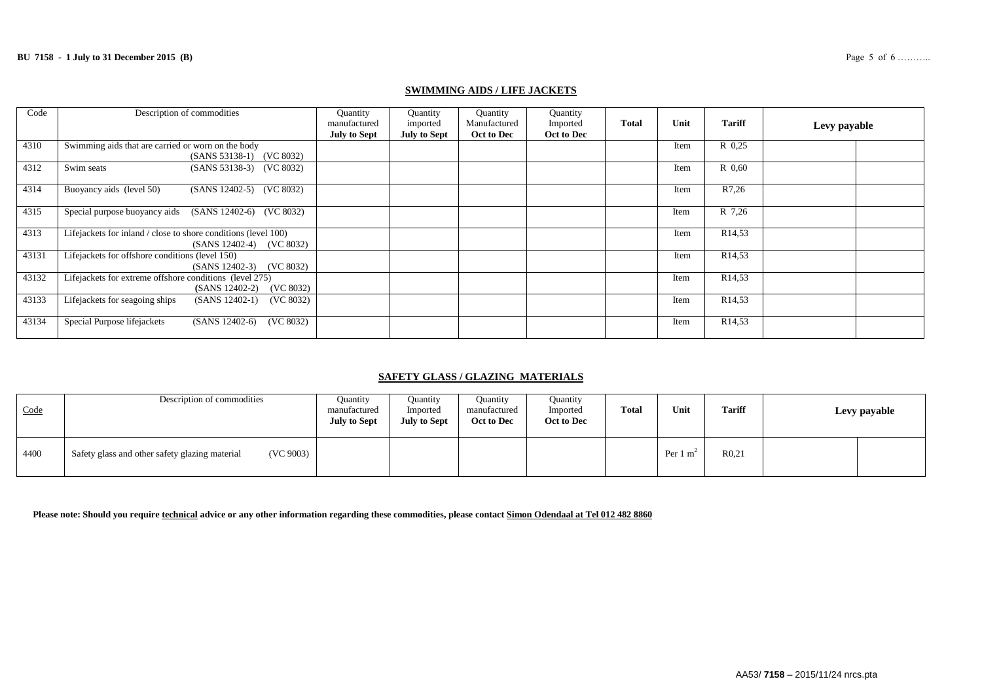| Code  | Description of commodities                                                                      | Quantity<br>manufactured<br><b>July to Sept</b> | Quantity<br>imported<br><b>July to Sept</b> | Quantity<br>Manufactured<br>Oct to Dec | Quantity<br>Imported<br>Oct to Dec | <b>Total</b> | Unit | <b>Tariff</b>      | Levy payable |
|-------|-------------------------------------------------------------------------------------------------|-------------------------------------------------|---------------------------------------------|----------------------------------------|------------------------------------|--------------|------|--------------------|--------------|
| 4310  | Swimming aids that are carried or worn on the body<br>(SANS 53138-1) (VC 8032)                  |                                                 |                                             |                                        |                                    |              | Item | R 0.25             |              |
| 4312  | Swim seats<br>(SANS 53138-3) (VC 8032)                                                          |                                                 |                                             |                                        |                                    |              | Item | R 0.60             |              |
| 4314  | Buoyancy aids (level 50)<br>(SANS 12402-5) (VC 8032)                                            |                                                 |                                             |                                        |                                    |              | Item | R7,26              |              |
| 4315  | Special purpose buoyancy aids (SANS 12402-6) (VC 8032)                                          |                                                 |                                             |                                        |                                    |              | Item | R 7,26             |              |
| 4313  | Lifejackets for inland / close to shore conditions (level 100)<br>$(SANS 12402-4)$<br>(VC 8032) |                                                 |                                             |                                        |                                    |              | Item | R <sub>14,53</sub> |              |
| 43131 | Lifejackets for offshore conditions (level 150)<br>(VC 8032)<br>$(SANS 12402-3)$                |                                                 |                                             |                                        |                                    |              | Item | R <sub>14,53</sub> |              |
| 43132 | Lifejackets for extreme offshore conditions (level 275)<br>(VC 8032)<br>$(SANS 12402-2)$        |                                                 |                                             |                                        |                                    |              | Item | R <sub>14,53</sub> |              |
| 43133 | Lifejackets for seagoing ships<br>$(SANS 12402-1)$<br>(VC 8032)                                 |                                                 |                                             |                                        |                                    |              | Item | R <sub>14,53</sub> |              |
| 43134 | Special Purpose lifejackets<br>$(SANS 12402-6)$<br>(VC 8032)                                    |                                                 |                                             |                                        |                                    |              | Item | R <sub>14,53</sub> |              |

#### **SWIMMING AIDS / LIFE JACKETS**

## **SAFETY GLASS / GLAZING MATERIALS**

| Code | Description of commodities                                  | <b>Quantity</b><br>manufactured<br><b>July to Sept</b> | Ouantity<br>Imported<br><b>July to Sept</b> | Ouantity<br>manufactured<br>Oct to Dec | <b>Ouantity</b><br>Imported<br>Oct to Dec | <b>Total</b> | Unit                | <b>Tariff</b>     | Levy payable |
|------|-------------------------------------------------------------|--------------------------------------------------------|---------------------------------------------|----------------------------------------|-------------------------------------------|--------------|---------------------|-------------------|--------------|
| 4400 | (VC 9003)<br>Safety glass and other safety glazing material |                                                        |                                             |                                        |                                           |              | Per $1 \text{ m}^2$ | R <sub>0.21</sub> |              |

**Please note: Should you require technical advice or any other information regarding these commodities, please contact Simon Odendaal at Tel 012 482 8860**